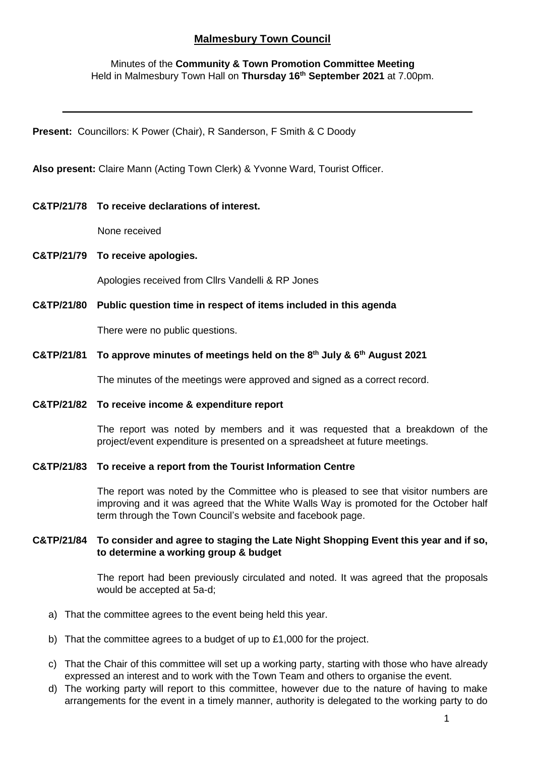# **Malmesbury Town Council**

Minutes of the **Community & Town Promotion Committee Meeting** Held in Malmesbury Town Hall on **Thursday 16th September 2021** at 7.00pm.

**Present:** Councillors: K Power (Chair), R Sanderson, F Smith & C Doody

**Also present:** Claire Mann (Acting Town Clerk) & Yvonne Ward, Tourist Officer.

#### **C&TP/21/78 To receive declarations of interest.**

None received

**C&TP/21/79 To receive apologies.**

Apologies received from Cllrs Vandelli & RP Jones

**C&TP/21/80 Public question time in respect of items included in this agenda**

There were no public questions.

**C&TP/21/81 To approve minutes of meetings held on the 8th July & 6th August 2021**

The minutes of the meetings were approved and signed as a correct record.

#### **C&TP/21/82 To receive income & expenditure report**

The report was noted by members and it was requested that a breakdown of the project/event expenditure is presented on a spreadsheet at future meetings.

#### **C&TP/21/83 To receive a report from the Tourist Information Centre**

The report was noted by the Committee who is pleased to see that visitor numbers are improving and it was agreed that the White Walls Way is promoted for the October half term through the Town Council's website and facebook page.

#### **C&TP/21/84 To consider and agree to staging the Late Night Shopping Event this year and if so, to determine a working group & budget**

The report had been previously circulated and noted. It was agreed that the proposals would be accepted at 5a-d;

- a) That the committee agrees to the event being held this year.
- b) That the committee agrees to a budget of up to £1,000 for the project.
- c) That the Chair of this committee will set up a working party, starting with those who have already expressed an interest and to work with the Town Team and others to organise the event.
- d) The working party will report to this committee, however due to the nature of having to make arrangements for the event in a timely manner, authority is delegated to the working party to do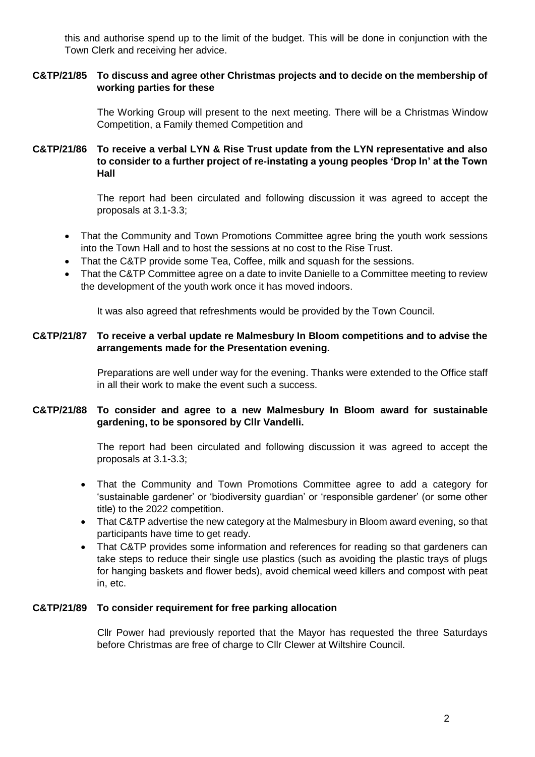this and authorise spend up to the limit of the budget. This will be done in conjunction with the Town Clerk and receiving her advice.

# **C&TP/21/85 To discuss and agree other Christmas projects and to decide on the membership of working parties for these**

The Working Group will present to the next meeting. There will be a Christmas Window Competition, a Family themed Competition and

# **C&TP/21/86 To receive a verbal LYN & Rise Trust update from the LYN representative and also to consider to a further project of re-instating a young peoples 'Drop In' at the Town Hall**

The report had been circulated and following discussion it was agreed to accept the proposals at 3.1-3.3;

- That the Community and Town Promotions Committee agree bring the youth work sessions into the Town Hall and to host the sessions at no cost to the Rise Trust.
- That the C&TP provide some Tea, Coffee, milk and squash for the sessions.
- That the C&TP Committee agree on a date to invite Danielle to a Committee meeting to review the development of the youth work once it has moved indoors.

It was also agreed that refreshments would be provided by the Town Council.

## **C&TP/21/87 To receive a verbal update re Malmesbury In Bloom competitions and to advise the arrangements made for the Presentation evening.**

Preparations are well under way for the evening. Thanks were extended to the Office staff in all their work to make the event such a success.

# **C&TP/21/88 To consider and agree to a new Malmesbury In Bloom award for sustainable gardening, to be sponsored by Cllr Vandelli.**

The report had been circulated and following discussion it was agreed to accept the proposals at 3.1-3.3;

- That the Community and Town Promotions Committee agree to add a category for 'sustainable gardener' or 'biodiversity guardian' or 'responsible gardener' (or some other title) to the 2022 competition.
- That C&TP advertise the new category at the Malmesbury in Bloom award evening, so that participants have time to get ready.
- That C&TP provides some information and references for reading so that gardeners can take steps to reduce their single use plastics (such as avoiding the plastic trays of plugs for hanging baskets and flower beds), avoid chemical weed killers and compost with peat in, etc.

## **C&TP/21/89 To consider requirement for free parking allocation**

Cllr Power had previously reported that the Mayor has requested the three Saturdays before Christmas are free of charge to Cllr Clewer at Wiltshire Council.